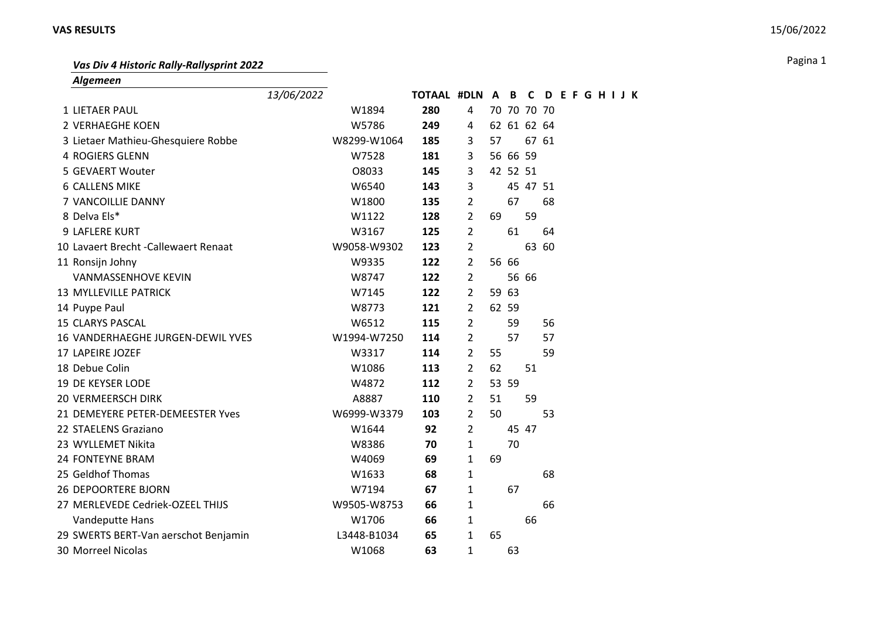## **VAS RESULTS** 15/06/2022

Pagina 1 *Vas Div 4 Historic Rally-Rallysprint 2022*

*Algemeen*

|                                       | 13/06/2022 |             | TOTAAL #DLN A B C |                |    |             |          | <b>DEFGHIJK</b> |  |  |  |
|---------------------------------------|------------|-------------|-------------------|----------------|----|-------------|----------|-----------------|--|--|--|
| 1 LIETAER PAUL                        |            | W1894       | 280               | 4              |    | 70 70 70 70 |          |                 |  |  |  |
| 2 VERHAEGHE KOEN                      |            | W5786       | 249               | 4              |    | 62 61 62 64 |          |                 |  |  |  |
| 3 Lietaer Mathieu-Ghesquiere Robbe    |            | W8299-W1064 | 185               | 3              | 57 |             |          | 67 61           |  |  |  |
| <b>4 ROGIERS GLENN</b>                |            | W7528       | 181               | 3              |    | 56 66 59    |          |                 |  |  |  |
| 5 GEVAERT Wouter                      |            | O8033       | 145               | 3              |    | 42 52 51    |          |                 |  |  |  |
| <b>6 CALLENS MIKE</b>                 |            | W6540       | 143               | 3              |    |             | 45 47 51 |                 |  |  |  |
| 7 VANCOILLIE DANNY                    |            | W1800       | 135               | 2              |    | 67          |          | 68              |  |  |  |
| 8 Delva Els*                          |            | W1122       | 128               | 2              | 69 |             | 59       |                 |  |  |  |
| 9 LAFLERE KURT                        |            | W3167       | 125               | $\overline{2}$ |    | 61          |          | 64              |  |  |  |
| 10 Lavaert Brecht - Callewaert Renaat |            | W9058-W9302 | 123               | 2              |    |             |          | 63 60           |  |  |  |
| 11 Ronsijn Johny                      |            | W9335       | 122               | 2              |    | 56 66       |          |                 |  |  |  |
| <b>VANMASSENHOVE KEVIN</b>            |            | W8747       | 122               | 2              |    |             | 56 66    |                 |  |  |  |
| 13 MYLLEVILLE PATRICK                 |            | W7145       | 122               | 2              |    | 59 63       |          |                 |  |  |  |
| 14 Puype Paul                         |            | W8773       | 121               | 2              |    | 62 59       |          |                 |  |  |  |
| <b>15 CLARYS PASCAL</b>               |            | W6512       | 115               | 2              |    | 59          |          | 56              |  |  |  |
| 16 VANDERHAEGHE JURGEN-DEWIL YVES     |            | W1994-W7250 | 114               | $\overline{2}$ |    | 57          |          | 57              |  |  |  |
| 17 LAPEIRE JOZEF                      |            | W3317       | 114               | 2              | 55 |             |          | 59              |  |  |  |
| 18 Debue Colin                        |            | W1086       | 113               | 2              | 62 |             | 51       |                 |  |  |  |
| <b>19 DE KEYSER LODE</b>              |            | W4872       | 112               | 2              |    | 53 59       |          |                 |  |  |  |
| <b>20 VERMEERSCH DIRK</b>             |            | A8887       | 110               | 2              | 51 |             | 59       |                 |  |  |  |
| 21 DEMEYERE PETER-DEMEESTER Yves      |            | W6999-W3379 | 103               | 2              | 50 |             |          | 53              |  |  |  |
| 22 STAELENS Graziano                  |            | W1644       | 92                | $\overline{2}$ |    | 45 47       |          |                 |  |  |  |
| 23 WYLLEMET Nikita                    |            | W8386       | 70                | 1              |    | 70          |          |                 |  |  |  |
| <b>24 FONTEYNE BRAM</b>               |            | W4069       | 69                | $\mathbf{1}$   | 69 |             |          |                 |  |  |  |
| 25 Geldhof Thomas                     |            | W1633       | 68                | 1              |    |             |          | 68              |  |  |  |
| <b>26 DEPOORTERE BJORN</b>            |            | W7194       | 67                | 1              |    | 67          |          |                 |  |  |  |
| 27 MERLEVEDE Cedriek-OZEEL THIJS      |            | W9505-W8753 | 66                | $\mathbf{1}$   |    |             |          | 66              |  |  |  |
| Vandeputte Hans                       |            | W1706       | 66                | 1              |    |             | 66       |                 |  |  |  |
| 29 SWERTS BERT-Van aerschot Benjamin  |            | L3448-B1034 | 65                | $\mathbf{1}$   | 65 |             |          |                 |  |  |  |
| <b>30 Morreel Nicolas</b>             |            | W1068       | 63                | 1              |    | 63          |          |                 |  |  |  |
|                                       |            |             |                   |                |    |             |          |                 |  |  |  |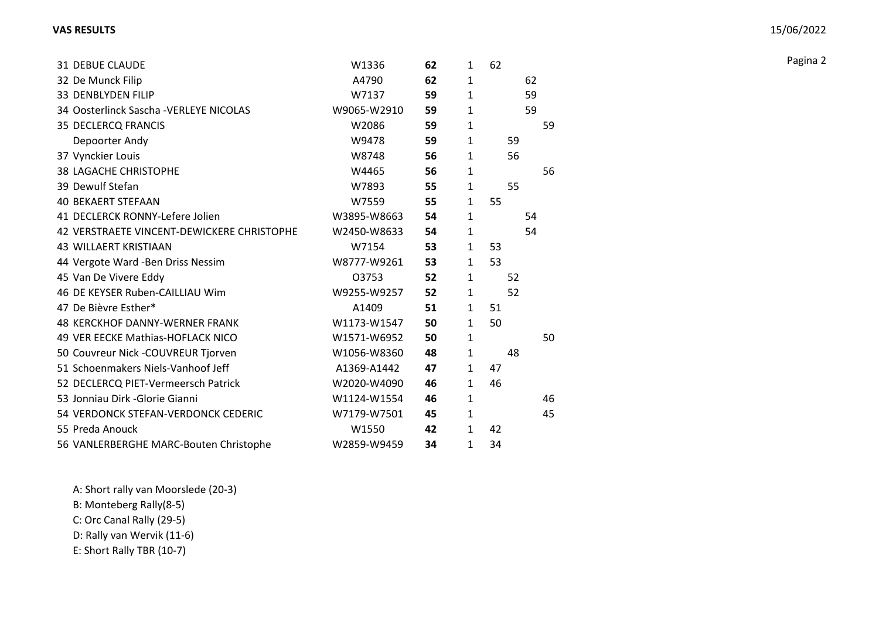| <b>31 DEBUE CLAUDE</b>                     | W1336       | 62 | $\mathbf{1}$ | 62 |    |  |
|--------------------------------------------|-------------|----|--------------|----|----|--|
| 32 De Munck Filip                          | A4790       | 62 | $\mathbf{1}$ | 62 |    |  |
| 33 DENBLYDEN FILIP                         | W7137       | 59 | $\mathbf{1}$ | 59 |    |  |
| 34 Oosterlinck Sascha - VERLEYE NICOLAS    | W9065-W2910 | 59 | $\mathbf{1}$ | 59 |    |  |
| <b>35 DECLERCQ FRANCIS</b>                 | W2086       | 59 | $\mathbf{1}$ |    | 59 |  |
| Depoorter Andy                             | W9478       | 59 | $\mathbf{1}$ | 59 |    |  |
| 37 Vynckier Louis                          | W8748       | 56 | $\mathbf{1}$ | 56 |    |  |
| <b>38 LAGACHE CHRISTOPHE</b>               | W4465       | 56 | $\mathbf{1}$ |    | 56 |  |
| 39 Dewulf Stefan                           | W7893       | 55 | $\mathbf{1}$ | 55 |    |  |
| <b>40 BEKAERT STEFAAN</b>                  | W7559       | 55 | $\mathbf{1}$ | 55 |    |  |
| 41 DECLERCK RONNY-Lefere Jolien            | W3895-W8663 | 54 | $\mathbf{1}$ | 54 |    |  |
| 42 VERSTRAETE VINCENT-DEWICKERE CHRISTOPHE | W2450-W8633 | 54 | $\mathbf{1}$ | 54 |    |  |
| <b>43 WILLAERT KRISTIAAN</b>               | W7154       | 53 | $\mathbf{1}$ | 53 |    |  |
| 44 Vergote Ward -Ben Driss Nessim          | W8777-W9261 | 53 | $\mathbf{1}$ | 53 |    |  |
| 45 Van De Vivere Eddy                      | 03753       | 52 | $\mathbf{1}$ | 52 |    |  |
| 46 DE KEYSER Ruben-CAILLIAU Wim            | W9255-W9257 | 52 | $\mathbf{1}$ | 52 |    |  |
| 47 De Bièvre Esther*                       | A1409       | 51 | $\mathbf{1}$ | 51 |    |  |
| <b>48 KERCKHOF DANNY-WERNER FRANK</b>      | W1173-W1547 | 50 | $\mathbf{1}$ | 50 |    |  |
| 49 VER EECKE Mathias-HOFLACK NICO          | W1571-W6952 | 50 | 1            |    | 50 |  |
| 50 Couvreur Nick -COUVREUR Tjorven         | W1056-W8360 | 48 | $\mathbf{1}$ | 48 |    |  |
| 51 Schoenmakers Niels-Vanhoof Jeff         | A1369-A1442 | 47 | $\mathbf{1}$ | 47 |    |  |
| 52 DECLERCQ PIET-Vermeersch Patrick        | W2020-W4090 | 46 | $\mathbf{1}$ | 46 |    |  |
| 53 Jonniau Dirk - Glorie Gianni            | W1124-W1554 | 46 | $\mathbf{1}$ |    | 46 |  |
| 54 VERDONCK STEFAN-VERDONCK CEDERIC        | W7179-W7501 | 45 | $\mathbf{1}$ |    | 45 |  |
| 55 Preda Anouck                            | W1550       | 42 | $\mathbf{1}$ | 42 |    |  |
| 56 VANLERBERGHE MARC-Bouten Christophe     | W2859-W9459 | 34 | $\mathbf{1}$ | 34 |    |  |

A: Short rally van Moorslede (20-3)

B: Monteberg Rally(8-5)

C: Orc Canal Rally (29-5)

D: Rally van Wervik (11-6)

E: Short Rally TBR (10-7)